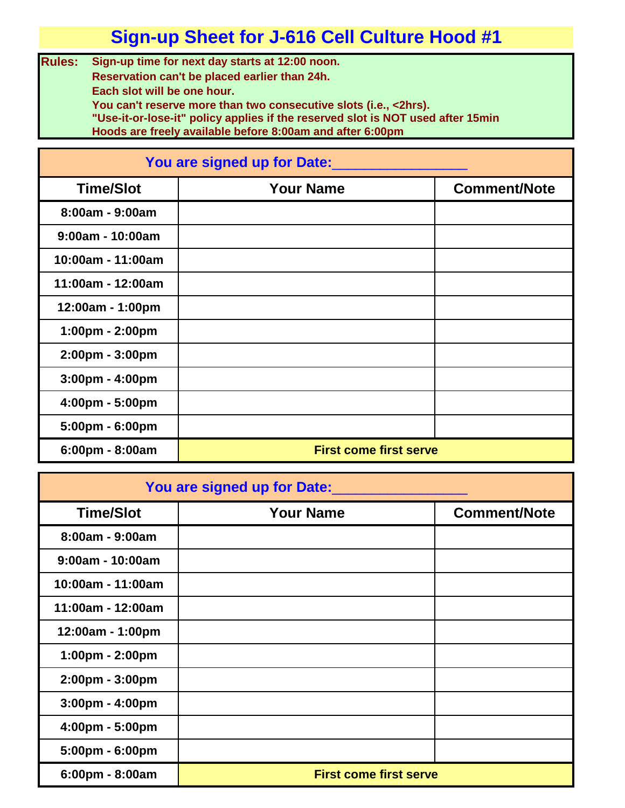**Rules: Sign-up time for next day starts at 12:00 noon. Reservation can't be placed earlier than 24h. Each slot will be one hour. You can't reserve more than two consecutive slots (i.e., <2hrs).**

**"Use-it-or-lose-it" policy applies if the reserved slot is NOT used after 15min Hoods are freely available before 8:00am and after 6:00pm**

| You are signed up for Date:       |                               |                     |
|-----------------------------------|-------------------------------|---------------------|
| <b>Time/Slot</b>                  | <b>Your Name</b>              | <b>Comment/Note</b> |
| 8:00am - 9:00am                   |                               |                     |
| $9:00am - 10:00am$                |                               |                     |
| 10:00am - 11:00am                 |                               |                     |
| 11:00am - 12:00am                 |                               |                     |
| 12:00am - 1:00pm                  |                               |                     |
| 1:00pm - 2:00pm                   |                               |                     |
| $2:00 \text{pm} - 3:00 \text{pm}$ |                               |                     |
| 3:00pm - 4:00pm                   |                               |                     |
| 4:00pm - 5:00pm                   |                               |                     |
| 5:00pm - 6:00pm                   |                               |                     |
| 6:00pm - 8:00am                   | <b>First come first serve</b> |                     |

| You are signed up for Date:       |                               |                     |
|-----------------------------------|-------------------------------|---------------------|
| <b>Time/Slot</b>                  | <b>Your Name</b>              | <b>Comment/Note</b> |
| $8:00am - 9:00am$                 |                               |                     |
| $9:00am - 10:00am$                |                               |                     |
| 10:00am - 11:00am                 |                               |                     |
| 11:00am - 12:00am                 |                               |                     |
| 12:00am - 1:00pm                  |                               |                     |
| 1:00pm - 2:00pm                   |                               |                     |
| 2:00pm - 3:00pm                   |                               |                     |
| $3:00 \text{pm} - 4:00 \text{pm}$ |                               |                     |
| 4:00pm - 5:00pm                   |                               |                     |
| 5:00pm - 6:00pm                   |                               |                     |
| 6:00pm - 8:00am                   | <b>First come first serve</b> |                     |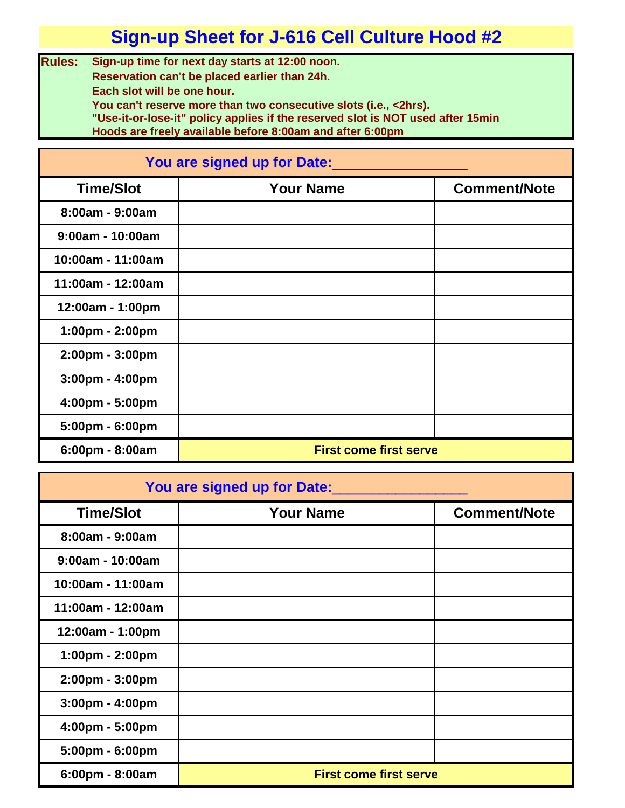**Rules: Sign-up time for next day starts at 12:00 noon. Reservation can't be placed earlier than 24h. Each slot will be one hour. You can't reserve more than two consecutive slots (i.e., <2hrs).**

**"Use-it-or-lose-it" policy applies if the reserved slot is NOT used after 15min Hoods are freely available before 8:00am and after 6:00pm**

| You are signed up for Date:       |                               |                     |
|-----------------------------------|-------------------------------|---------------------|
| <b>Time/Slot</b>                  | <b>Your Name</b>              | <b>Comment/Note</b> |
| 8:00am - 9:00am                   |                               |                     |
| $9:00am - 10:00am$                |                               |                     |
| 10:00am - 11:00am                 |                               |                     |
| 11:00am - 12:00am                 |                               |                     |
| 12:00am - 1:00pm                  |                               |                     |
| 1:00pm - 2:00pm                   |                               |                     |
| 2:00pm - 3:00pm                   |                               |                     |
| 3:00pm - 4:00pm                   |                               |                     |
| 4:00pm - 5:00pm                   |                               |                     |
| $5:00 \text{pm} - 6:00 \text{pm}$ |                               |                     |
| 6:00pm - 8:00am                   | <b>First come first serve</b> |                     |

| You are signed up for Date:       |                               |                     |
|-----------------------------------|-------------------------------|---------------------|
| <b>Time/Slot</b>                  | <b>Your Name</b>              | <b>Comment/Note</b> |
| $8:00am - 9:00am$                 |                               |                     |
| $9:00am - 10:00am$                |                               |                     |
| 10:00am - 11:00am                 |                               |                     |
| 11:00am - 12:00am                 |                               |                     |
| 12:00am - 1:00pm                  |                               |                     |
| 1:00pm - 2:00pm                   |                               |                     |
| 2:00pm - 3:00pm                   |                               |                     |
| $3:00 \text{pm} - 4:00 \text{pm}$ |                               |                     |
| $4:00 \text{pm} - 5:00 \text{pm}$ |                               |                     |
| 5:00pm - 6:00pm                   |                               |                     |
| $6:00 \text{pm} - 8:00 \text{am}$ | <b>First come first serve</b> |                     |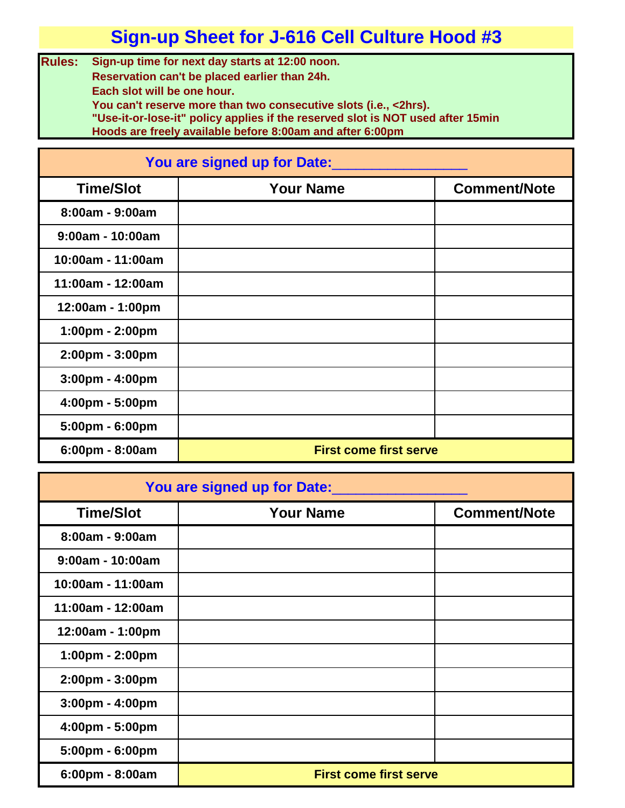**Rules: Sign-up time for next day starts at 12:00 noon. Reservation can't be placed earlier than 24h. Each slot will be one hour. You can't reserve more than two consecutive slots (i.e., <2hrs).**

**"Use-it-or-lose-it" policy applies if the reserved slot is NOT used after 15min Hoods are freely available before 8:00am and after 6:00pm**

| You are signed up for Date:       |                               |                     |
|-----------------------------------|-------------------------------|---------------------|
| <b>Time/Slot</b>                  | <b>Your Name</b>              | <b>Comment/Note</b> |
| 8:00am - 9:00am                   |                               |                     |
| $9:00am - 10:00am$                |                               |                     |
| 10:00am - 11:00am                 |                               |                     |
| 11:00am - 12:00am                 |                               |                     |
| 12:00am - 1:00pm                  |                               |                     |
| 1:00pm - 2:00pm                   |                               |                     |
| $2:00 \text{pm} - 3:00 \text{pm}$ |                               |                     |
| 3:00pm - 4:00pm                   |                               |                     |
| 4:00pm - 5:00pm                   |                               |                     |
| 5:00pm - 6:00pm                   |                               |                     |
| 6:00pm - 8:00am                   | <b>First come first serve</b> |                     |

| You are signed up for Date:       |                               |                     |
|-----------------------------------|-------------------------------|---------------------|
| <b>Time/Slot</b>                  | <b>Your Name</b>              | <b>Comment/Note</b> |
| $8:00am - 9:00am$                 |                               |                     |
| $9:00am - 10:00am$                |                               |                     |
| 10:00am - 11:00am                 |                               |                     |
| 11:00am - 12:00am                 |                               |                     |
| 12:00am - 1:00pm                  |                               |                     |
| 1:00pm - 2:00pm                   |                               |                     |
| 2:00pm - 3:00pm                   |                               |                     |
| $3:00 \text{pm} - 4:00 \text{pm}$ |                               |                     |
| 4:00pm - 5:00pm                   |                               |                     |
| 5:00pm - 6:00pm                   |                               |                     |
| 6:00pm - 8:00am                   | <b>First come first serve</b> |                     |